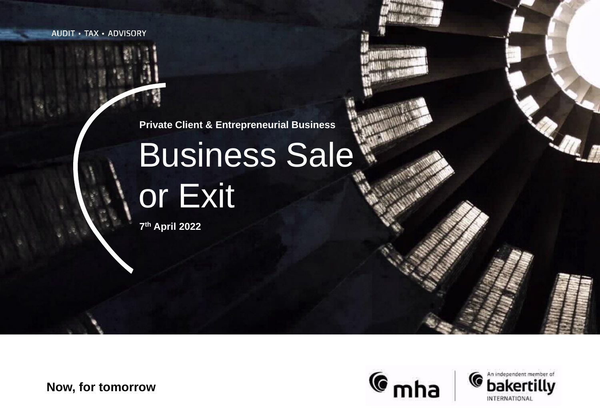**AUDIT · TAX · ADVISORY** 

**Private Client & Entrepreneurial Business**

# Business Sale or Exit

**7 th April 2022**

**Now, for tomorrow**

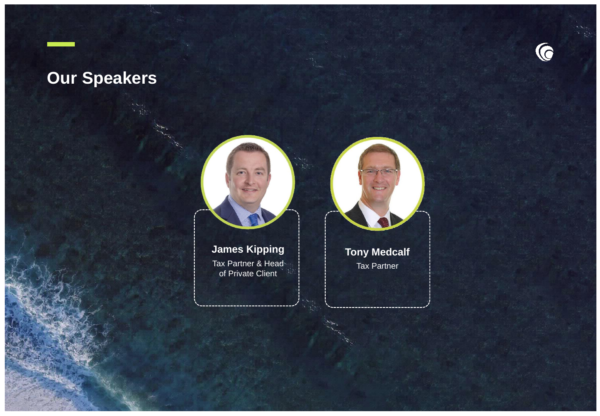# **Our Speakers**





**James Kipping** Tax Partner & Head of Private Client



Tax Partner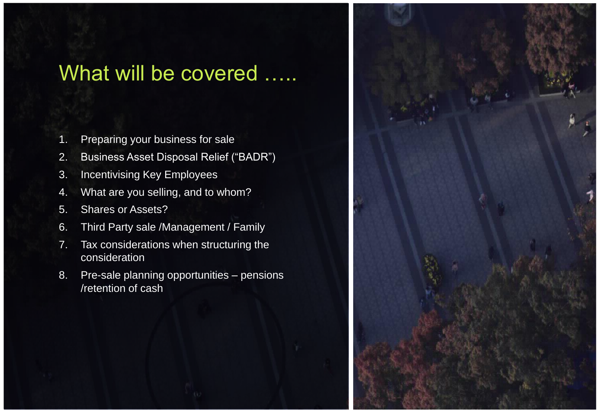# What will be covered .....

- 1. Preparing your business for sale
- 2. Business Asset Disposal Relief ("BADR")
- 3. Incentivising Key Employees
- 4. What are you selling, and to whom?
- 5. Shares or Assets?
- 6. Third Party sale /Management / Family
- 7. Tax considerations when structuring the consideration
- 8. Pre-sale planning opportunities pensions /retention of cash

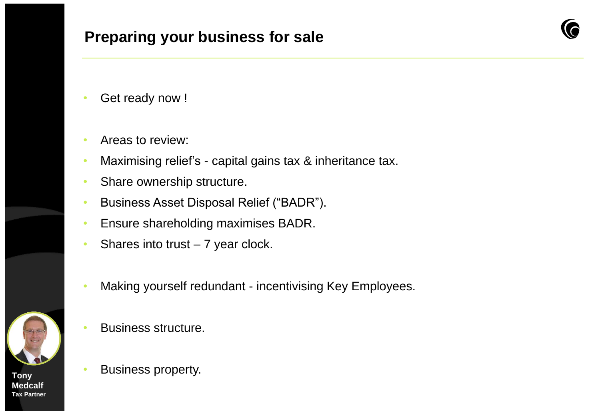# **Preparing your business for sale**



- Get ready now !
- Areas to review:
- Maximising relief's capital gains tax & inheritance tax.
- Share ownership structure.
- Business Asset Disposal Relief ("BADR").
- Ensure shareholding maximises BADR.
- Shares into trust  $-7$  year clock.
- Making yourself redundant incentivising Key Employees.
- Business structure.
- Business property. **Tony**

**Medcalf Tax Partner**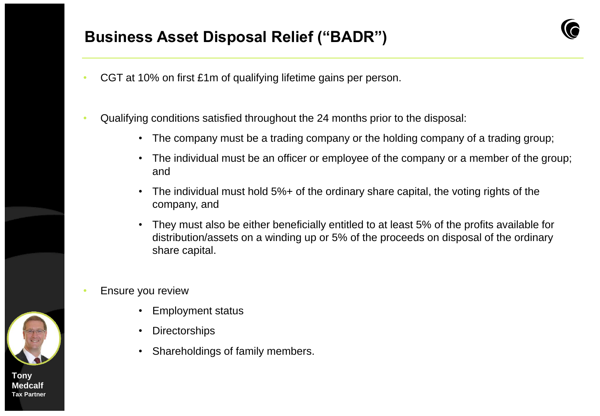# **Business Asset Disposal Relief ("BADR")**

- CGT at 10% on first £1m of qualifying lifetime gains per person.
- Qualifying conditions satisfied throughout the 24 months prior to the disposal:
	- The company must be a trading company or the holding company of a trading group;
	- The individual must be an officer or employee of the company or a member of the group; and
	- The individual must hold 5%+ of the ordinary share capital, the voting rights of the company, and
	- They must also be either beneficially entitled to at least 5% of the profits available for distribution/assets on a winding up or 5% of the proceeds on disposal of the ordinary share capital.
- Ensure you review
	- Employment status
	- Directorships
	- Shareholdings of family members.

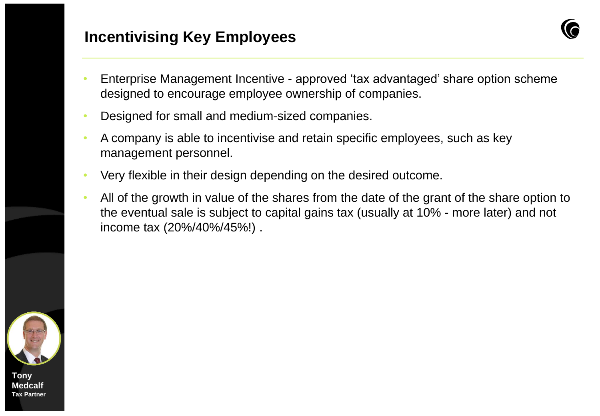## **Incentivising Key Employees**

- 
- Enterprise Management Incentive approved 'tax advantaged' share option scheme designed to encourage employee ownership of companies.
- Designed for small and medium-sized companies.
- A company is able to incentivise and retain specific employees, such as key management personnel.
- Very flexible in their design depending on the desired outcome.
- All of the growth in value of the shares from the date of the grant of the share option to the eventual sale is subject to capital gains tax (usually at 10% - more later) and not income tax (20%/40%/45%!) .

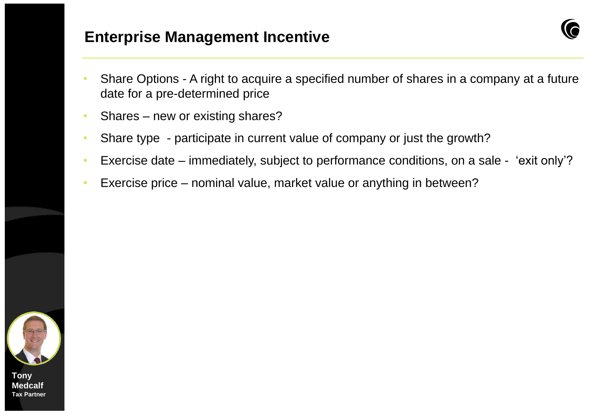## **Enterprise Management Incentive**

- 
- Share Options A right to acquire a specified number of shares in a company at a future date for a pre-determined price
- Shares new or existing shares?
- Share type participate in current value of company or just the growth?
- Exercise date immediately, subject to performance conditions, on a sale 'exit only'?
- Exercise price nominal value, market value or anything in between?

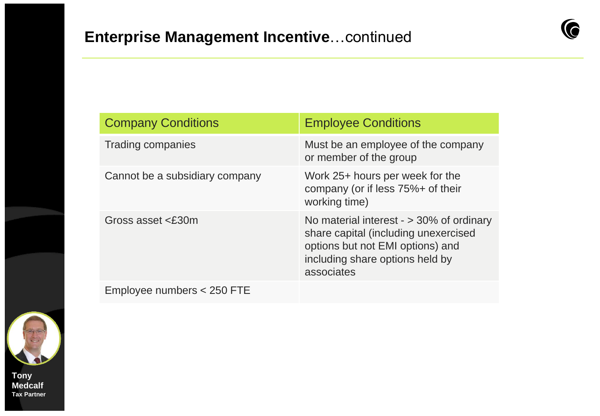

| <b>Company Conditions</b>      | <b>Employee Conditions</b>                                                                                                                                              |
|--------------------------------|-------------------------------------------------------------------------------------------------------------------------------------------------------------------------|
| <b>Trading companies</b>       | Must be an employee of the company<br>or member of the group                                                                                                            |
| Cannot be a subsidiary company | Work 25+ hours per week for the<br>company (or if less 75%+ of their<br>working time)                                                                                   |
| Gross asset $\leq$ £30m        | No material interest $-$ > 30% of ordinary<br>share capital (including unexercised<br>options but not EMI options) and<br>including share options held by<br>associates |
| Employee numbers < 250 FTE     |                                                                                                                                                                         |

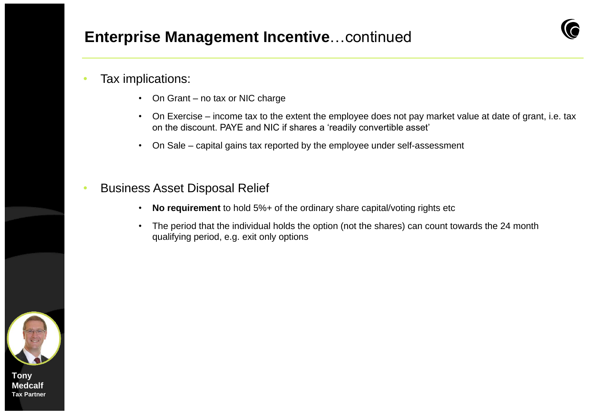## **Enterprise Management Incentive**…continued

#### • Tax implications:

- On Grant no tax or NIC charge
- On Exercise income tax to the extent the employee does not pay market value at date of grant, i.e. tax on the discount. PAYE and NIC if shares a 'readily convertible asset'
- On Sale capital gains tax reported by the employee under self-assessment
- Business Asset Disposal Relief
	- **No requirement** to hold 5%+ of the ordinary share capital/voting rights etc
	- The period that the individual holds the option (not the shares) can count towards the 24 month qualifying period, e.g. exit only options

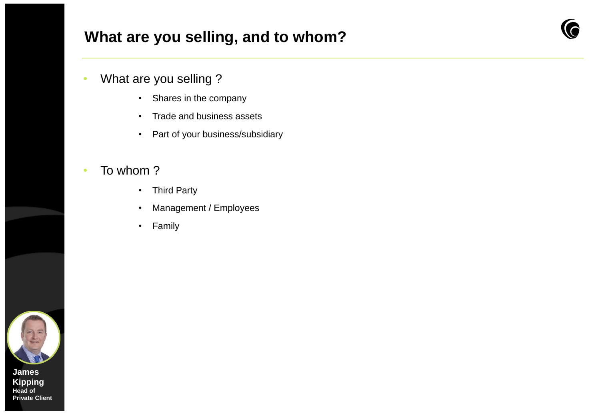# **What are you selling, and to whom?**

- What are you selling ?
	- Shares in the company
	- Trade and business assets
	- Part of your business/subsidiary

### • To whom ?

- Third Party
- Management / Employees
- Family

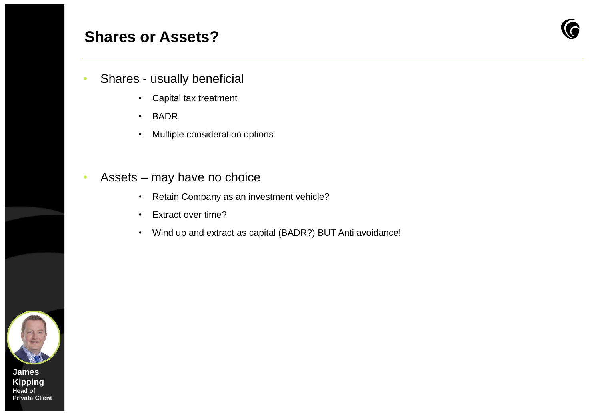## **Shares or Assets?**



- Shares usually beneficial
	- Capital tax treatment
	- BADR
	- Multiple consideration options

### • Assets – may have no choice

- Retain Company as an investment vehicle?
- Extract over time?
- Wind up and extract as capital (BADR?) BUT Anti avoidance!

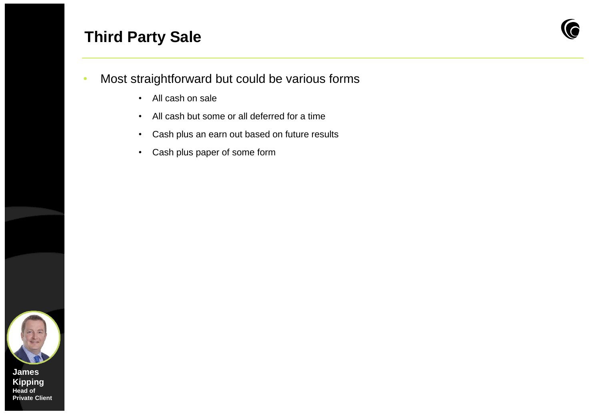# **Third Party Sale**



- Most straightforward but could be various forms
	- All cash on sale
	- All cash but some or all deferred for a time
	- Cash plus an earn out based on future results
	- Cash plus paper of some form

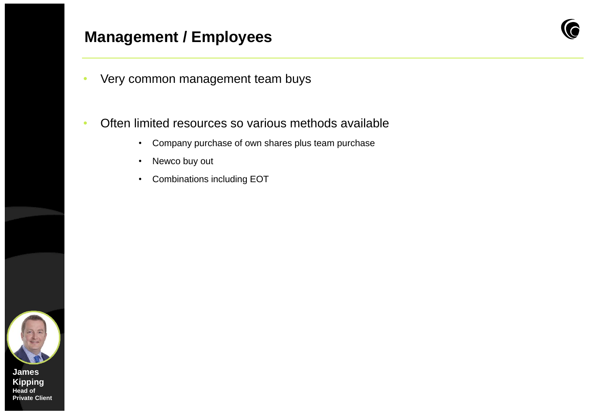## **Management / Employees**



- Very common management team buys
- Often limited resources so various methods available
	- Company purchase of own shares plus team purchase
	- Newco buy out
	- Combinations including EOT

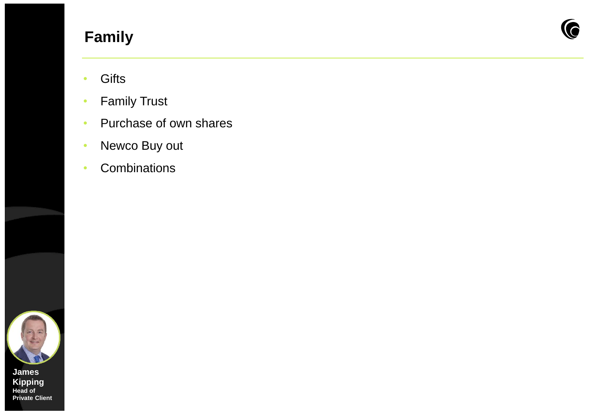# **Family**



- Gifts
- Family Trust
- Purchase of own shares
- Newco Buy out
- Combinations

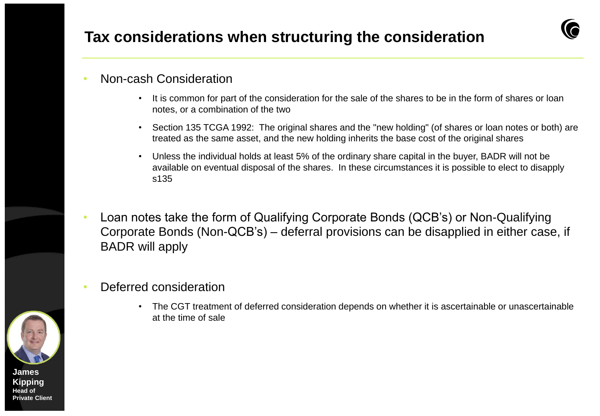# **Tax considerations when structuring the consideration**

### • Non-cash Consideration

- It is common for part of the consideration for the sale of the shares to be in the form of shares or loan notes, or a combination of the two
- Section 135 TCGA 1992: The original shares and the "new holding" (of shares or loan notes or both) are treated as the same asset, and the new holding inherits the base cost of the original shares
- Unless the individual holds at least 5% of the ordinary share capital in the buyer, BADR will not be available on eventual disposal of the shares. In these circumstances it is possible to elect to disapply s135
- Loan notes take the form of Qualifying Corporate Bonds (QCB's) or Non-Qualifying Corporate Bonds (Non-QCB's) – deferral provisions can be disapplied in either case, if BADR will apply
- Deferred consideration
	- The CGT treatment of deferred consideration depends on whether it is ascertainable or unascertainable at the time of sale

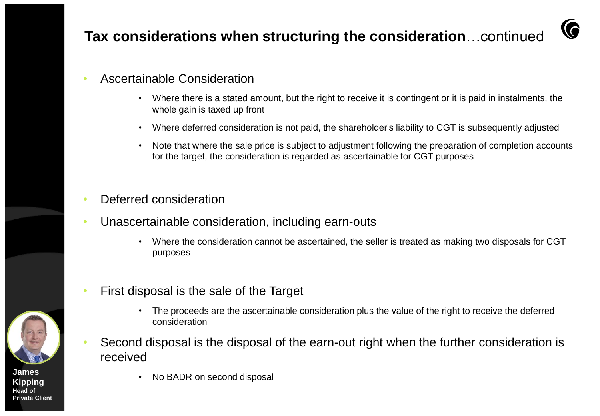# **Tax considerations when structuring the consideration**…continued



## • Ascertainable Consideration

- Where there is a stated amount, but the right to receive it is contingent or it is paid in instalments, the whole gain is taxed up front
- Where deferred consideration is not paid, the shareholder's liability to CGT is subsequently adjusted
- Note that where the sale price is subject to adjustment following the preparation of completion accounts for the target, the consideration is regarded as ascertainable for CGT purposes
- Deferred consideration
- Unascertainable consideration, including earn-outs
	- Where the consideration cannot be ascertained, the seller is treated as making two disposals for CGT purposes
- First disposal is the sale of the Target
	- The proceeds are the ascertainable consideration plus the value of the right to receive the deferred consideration
- Second disposal is the disposal of the earn-out right when the further consideration is received
- No BADR on second disposal **James**

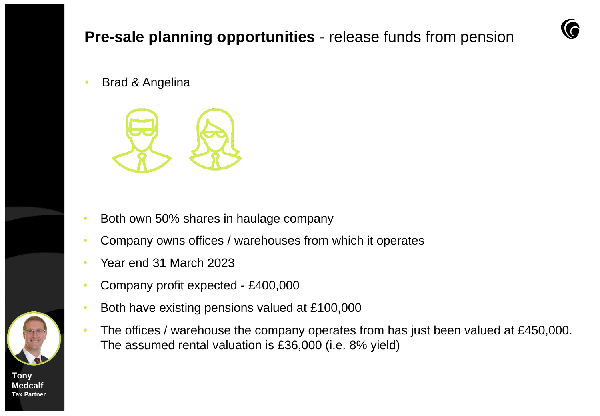**Brad & Angelina** 



- Both own 50% shares in haulage company
- Company owns offices / warehouses from which it operates
- Year end 31 March 2023
- Company profit expected £400,000
- Both have existing pensions valued at £100,000
- The offices / warehouse the company operates from has just been valued at £450,000. The assumed rental valuation is £36,000 (i.e. 8% yield)

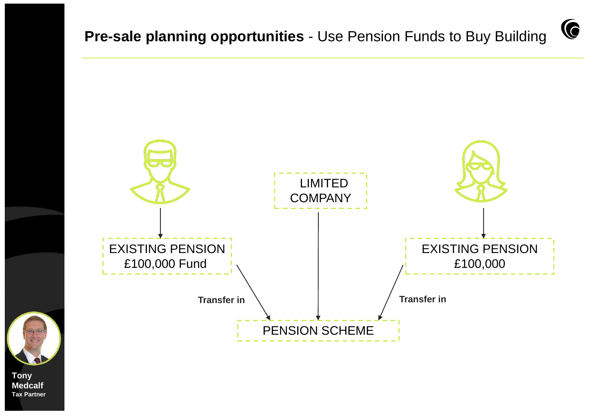C





**Medcalf Tax Partner**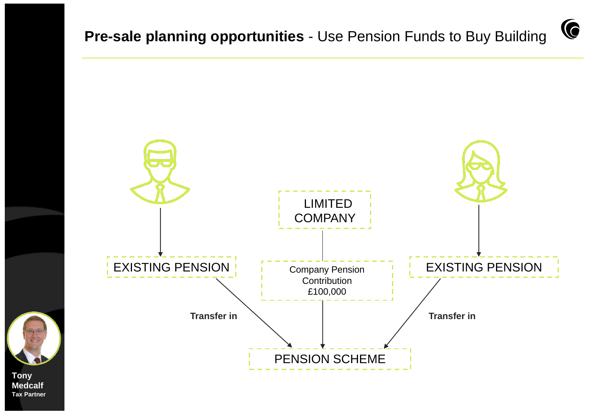G

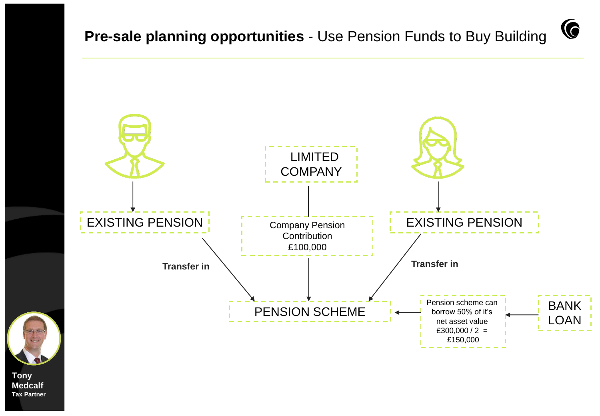C

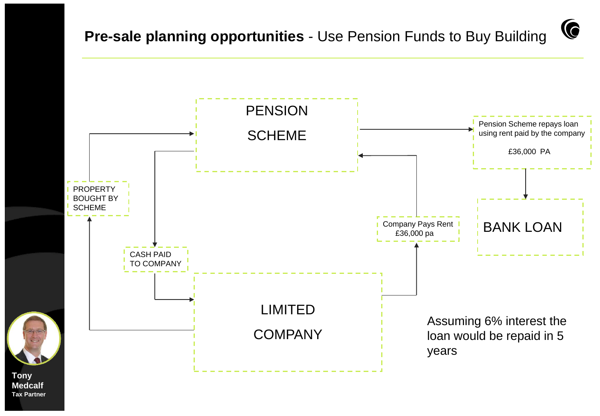G

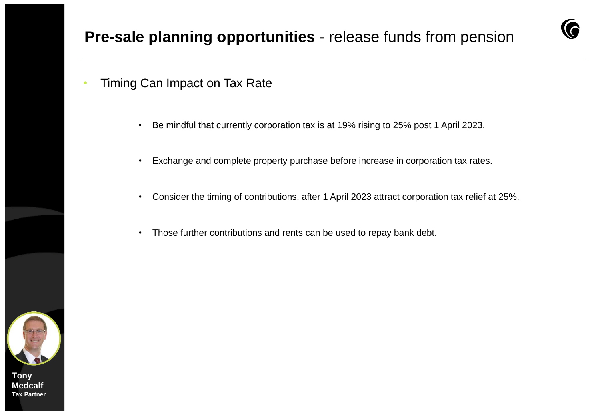- Timing Can Impact on Tax Rate
	- Be mindful that currently corporation tax is at 19% rising to 25% post 1 April 2023.
	- Exchange and complete property purchase before increase in corporation tax rates.
	- Consider the timing of contributions, after 1 April 2023 attract corporation tax relief at 25%.
	- Those further contributions and rents can be used to repay bank debt.

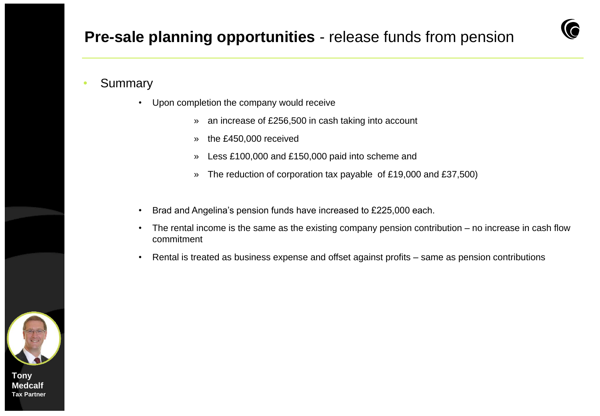

### **Summary**

- Upon completion the company would receive
	- » an increase of £256,500 in cash taking into account
	- » the £450,000 received
	- » Less £100,000 and £150,000 paid into scheme and
	- » The reduction of corporation tax payable of £19,000 and £37,500)
- Brad and Angelina's pension funds have increased to £225,000 each.
- The rental income is the same as the existing company pension contribution no increase in cash flow commitment
- Rental is treated as business expense and offset against profits same as pension contributions

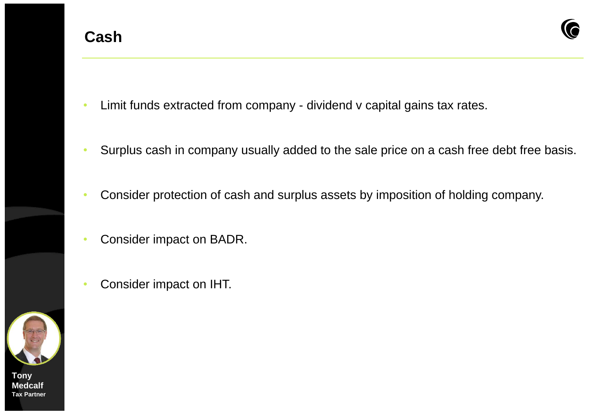

- Limit funds extracted from company dividend v capital gains tax rates.
- Surplus cash in company usually added to the sale price on a cash free debt free basis.
- Consider protection of cash and surplus assets by imposition of holding company.
- Consider impact on BADR.
- Consider impact on IHT.

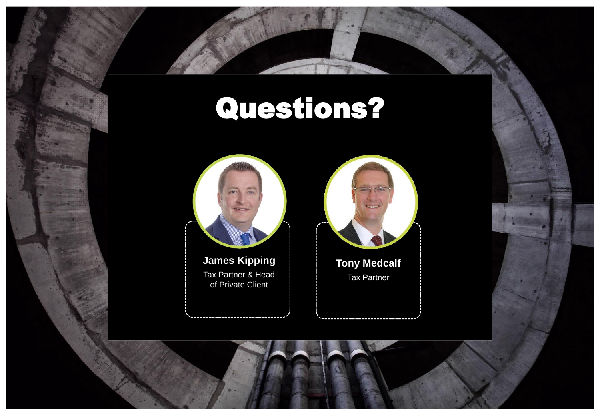# Questions?



**James Kipping** Tax Partner & Head of Private Client

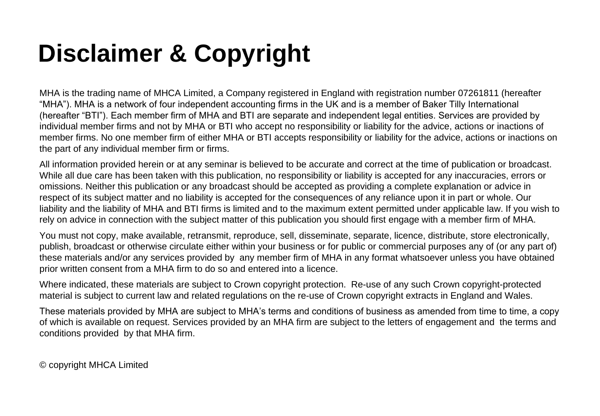# **Disclaimer & Copyright**

MHA is the trading name of MHCA Limited, a Company registered in England with registration number 07261811 (hereafter "MHA"). MHA is a network of four independent accounting firms in the UK and is a member of Baker Tilly International (hereafter "BTI"). Each member firm of MHA and BTI are separate and independent legal entities. Services are provided by individual member firms and not by MHA or BTI who accept no responsibility or liability for the advice, actions or inactions of member firms. No one member firm of either MHA or BTI accepts responsibility or liability for the advice, actions or inactions on the part of any individual member firm or firms.

All information provided herein or at any seminar is believed to be accurate and correct at the time of publication or broadcast. While all due care has been taken with this publication, no responsibility or liability is accepted for any inaccuracies, errors or omissions. Neither this publication or any broadcast should be accepted as providing a complete explanation or advice in respect of its subject matter and no liability is accepted for the consequences of any reliance upon it in part or whole. Our liability and the liability of MHA and BTI firms is limited and to the maximum extent permitted under applicable law. If you wish to rely on advice in connection with the subject matter of this publication you should first engage with a member firm of MHA.

You must not copy, make available, retransmit, reproduce, sell, disseminate, separate, licence, distribute, store electronically, publish, broadcast or otherwise circulate either within your business or for public or commercial purposes any of (or any part of) these materials and/or any services provided by any member firm of MHA in any format whatsoever unless you have obtained prior written consent from a MHA firm to do so and entered into a licence.

Where indicated, these materials are subject to Crown copyright protection. Re-use of any such Crown copyright-protected material is subject to current law and related regulations on the re-use of Crown copyright extracts in England and Wales.

These materials provided by MHA are subject to MHA's terms and conditions of business as amended from time to time, a copy of which is available on request. Services provided by an MHA firm are subject to the letters of engagement and the terms and conditions provided by that MHA firm.

© copyright MHCA Limited